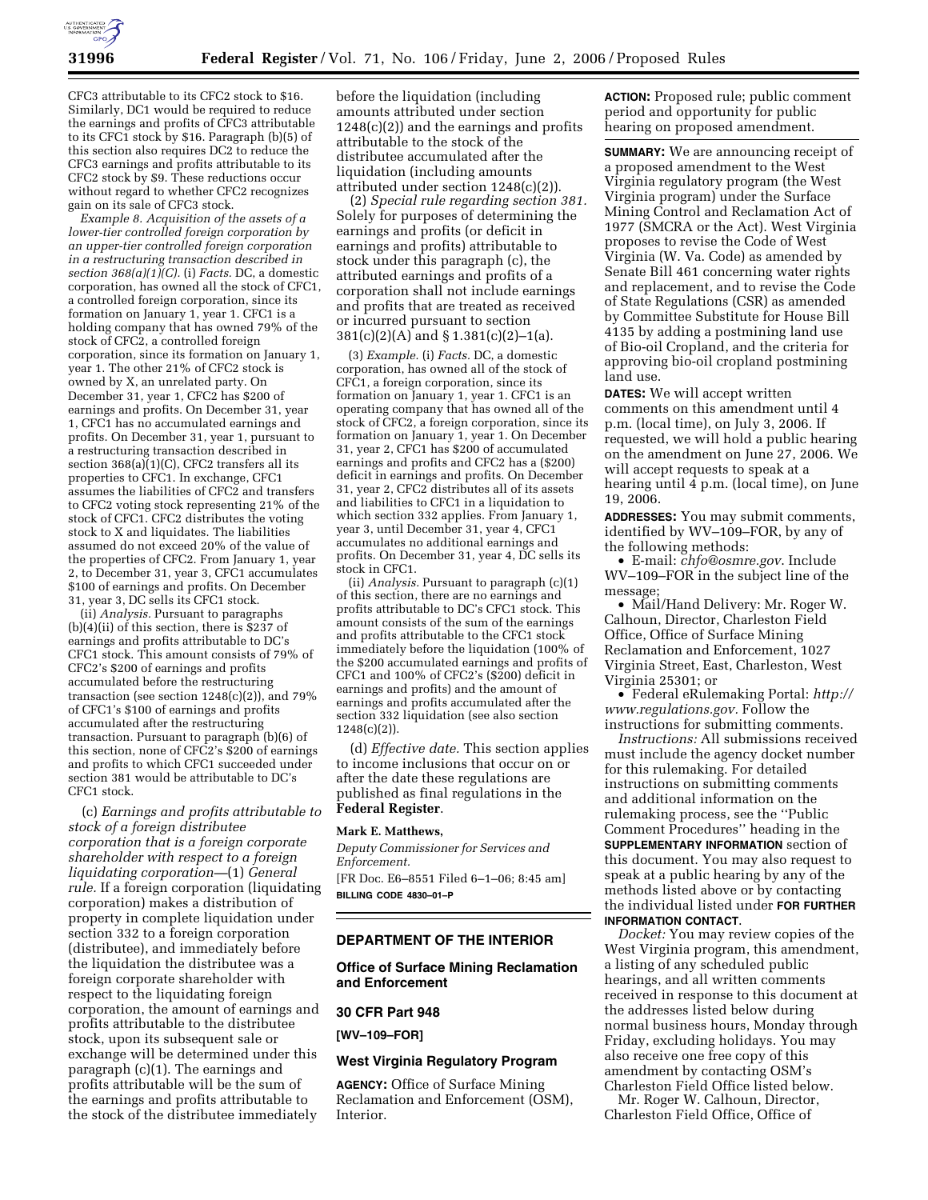

CFC3 attributable to its CFC2 stock to \$16. Similarly, DC1 would be required to reduce the earnings and profits of CFC3 attributable to its CFC1 stock by \$16. Paragraph (b)(5) of this section also requires DC2 to reduce the CFC3 earnings and profits attributable to its CFC2 stock by \$9. These reductions occur without regard to whether CFC2 recognizes gain on its sale of CFC3 stock.

*Example 8. Acquisition of the assets of a lower-tier controlled foreign corporation by an upper-tier controlled foreign corporation in a restructuring transaction described in section 368(a)(1)(C).* (i) *Facts.* DC, a domestic corporation, has owned all the stock of CFC1, a controlled foreign corporation, since its formation on January 1, year 1. CFC1 is a holding company that has owned 79% of the stock of CFC2, a controlled foreign corporation, since its formation on January 1, year 1. The other 21% of CFC2 stock is owned by X, an unrelated party. On December 31, year 1, CFC2 has \$200 of earnings and profits. On December 31, year 1, CFC1 has no accumulated earnings and profits. On December 31, year 1, pursuant to a restructuring transaction described in section  $368(a)(1)(C)$ , CFC2 transfers all its properties to CFC1. In exchange, CFC1 assumes the liabilities of CFC2 and transfers to CFC2 voting stock representing 21% of the stock of CFC1. CFC2 distributes the voting stock to X and liquidates. The liabilities assumed do not exceed 20% of the value of the properties of CFC2. From January 1, year 2, to December 31, year 3, CFC1 accumulates \$100 of earnings and profits. On December 31, year 3, DC sells its CFC1 stock.

(ii) *Analysis.* Pursuant to paragraphs (b)(4)(ii) of this section, there is \$237 of earnings and profits attributable to DC's CFC1 stock. This amount consists of 79% of CFC2's \$200 of earnings and profits accumulated before the restructuring transaction (see section  $1248(c)(2)$ ), and  $79\%$ of CFC1's \$100 of earnings and profits accumulated after the restructuring transaction. Pursuant to paragraph (b)(6) of this section, none of CFC2's \$200 of earnings and profits to which CFC1 succeeded under section 381 would be attributable to DC's CFC1 stock.

(c) *Earnings and profits attributable to stock of a foreign distributee corporation that is a foreign corporate shareholder with respect to a foreign liquidating corporation—*(1) *General rule.* If a foreign corporation (liquidating corporation) makes a distribution of property in complete liquidation under section 332 to a foreign corporation (distributee), and immediately before the liquidation the distributee was a foreign corporate shareholder with respect to the liquidating foreign corporation, the amount of earnings and profits attributable to the distributee stock, upon its subsequent sale or exchange will be determined under this paragraph (c)(1). The earnings and profits attributable will be the sum of the earnings and profits attributable to the stock of the distributee immediately

before the liquidation (including amounts attributed under section 1248(c)(2)) and the earnings and profits attributable to the stock of the distributee accumulated after the liquidation (including amounts attributed under section 1248(c)(2)).

(2) *Special rule regarding section 381.*  Solely for purposes of determining the earnings and profits (or deficit in earnings and profits) attributable to stock under this paragraph (c), the attributed earnings and profits of a corporation shall not include earnings and profits that are treated as received or incurred pursuant to section 381(c)(2)(A) and § 1.381(c)(2)–1(a).

(3) *Example.* (i) *Facts.* DC, a domestic corporation, has owned all of the stock of CFC1, a foreign corporation, since its formation on January 1, year 1. CFC1 is an operating company that has owned all of the stock of CFC2, a foreign corporation, since its formation on January 1, year 1. On December 31, year 2, CFC1 has \$200 of accumulated earnings and profits and CFC2 has a (\$200) deficit in earnings and profits. On December 31, year 2, CFC2 distributes all of its assets and liabilities to CFC1 in a liquidation to which section 332 applies. From January 1, year 3, until December 31, year 4, CFC1 accumulates no additional earnings and profits. On December 31, year 4, DC sells its stock in CFC1.

(ii) *Analysis.* Pursuant to paragraph (c)(1) of this section, there are no earnings and profits attributable to DC's CFC1 stock. This amount consists of the sum of the earnings and profits attributable to the CFC1 stock immediately before the liquidation (100% of the \$200 accumulated earnings and profits of CFC1 and 100% of CFC2's (\$200) deficit in earnings and profits) and the amount of earnings and profits accumulated after the section 332 liquidation (see also section 1248(c)(2)).

(d) *Effective date.* This section applies to income inclusions that occur on or after the date these regulations are published as final regulations in the **Federal Register**.

### **Mark E. Matthews,**

*Deputy Commissioner for Services and Enforcement.* 

[FR Doc. E6–8551 Filed 6–1–06; 8:45 am] **BILLING CODE 4830–01–P** 

### **DEPARTMENT OF THE INTERIOR**

# **Office of Surface Mining Reclamation and Enforcement**

### **30 CFR Part 948**

**[WV–109–FOR]** 

### **West Virginia Regulatory Program**

**AGENCY:** Office of Surface Mining Reclamation and Enforcement (OSM), Interior.

**ACTION:** Proposed rule; public comment period and opportunity for public hearing on proposed amendment.

**SUMMARY:** We are announcing receipt of a proposed amendment to the West Virginia regulatory program (the West Virginia program) under the Surface Mining Control and Reclamation Act of 1977 (SMCRA or the Act). West Virginia proposes to revise the Code of West Virginia (W. Va. Code) as amended by Senate Bill 461 concerning water rights and replacement, and to revise the Code of State Regulations (CSR) as amended by Committee Substitute for House Bill 4135 by adding a postmining land use of Bio-oil Cropland, and the criteria for approving bio-oil cropland postmining land use.

**DATES:** We will accept written comments on this amendment until 4 p.m. (local time), on July 3, 2006. If requested, we will hold a public hearing on the amendment on June 27, 2006. We will accept requests to speak at a hearing until 4 p.m. (local time), on June 19, 2006.

**ADDRESSES:** You may submit comments, identified by WV–109–FOR, by any of the following methods:

• E-mail: *chfo@osmre.gov*. Include WV–109–FOR in the subject line of the message;

• Mail/Hand Delivery: Mr. Roger W. Calhoun, Director, Charleston Field Office, Office of Surface Mining Reclamation and Enforcement, 1027 Virginia Street, East, Charleston, West Virginia 25301; or

• Federal eRulemaking Portal: *http:// www.regulations.gov.* Follow the instructions for submitting comments.

*Instructions:* All submissions received must include the agency docket number for this rulemaking. For detailed instructions on submitting comments and additional information on the rulemaking process, see the ''Public Comment Procedures'' heading in the **SUPPLEMENTARY INFORMATION** section of this document. You may also request to speak at a public hearing by any of the methods listed above or by contacting the individual listed under **FOR FURTHER INFORMATION CONTACT**.

*Docket:* You may review copies of the West Virginia program, this amendment, a listing of any scheduled public hearings, and all written comments received in response to this document at the addresses listed below during normal business hours, Monday through Friday, excluding holidays. You may also receive one free copy of this amendment by contacting OSM's Charleston Field Office listed below.

Mr. Roger W. Calhoun, Director, Charleston Field Office, Office of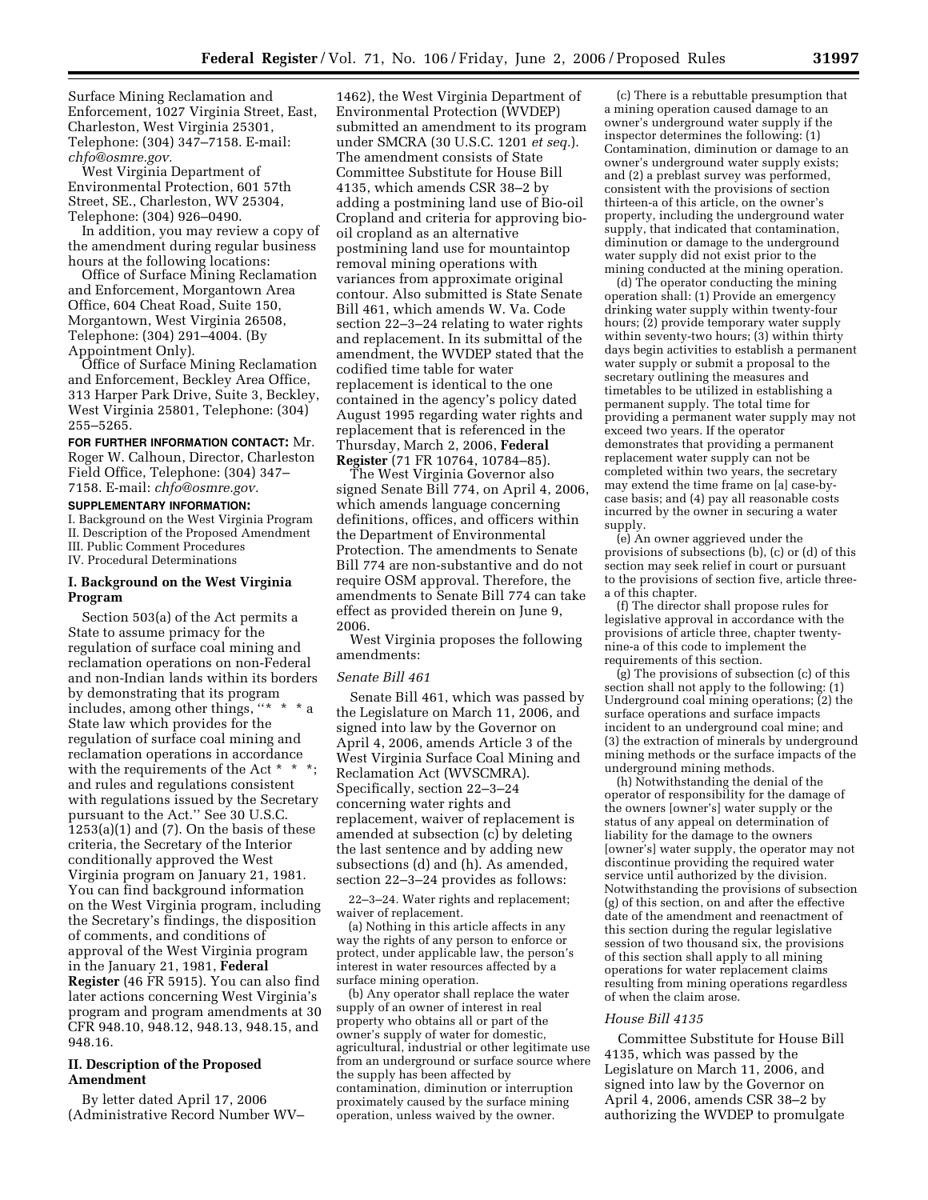Surface Mining Reclamation and Enforcement, 1027 Virginia Street, East, Charleston, West Virginia 25301, Telephone: (304) 347–7158. E-mail: *chfo@osmre.gov.* 

West Virginia Department of Environmental Protection, 601 57th Street, SE., Charleston, WV 25304, Telephone: (304) 926–0490.

In addition, you may review a copy of the amendment during regular business hours at the following locations:

Office of Surface Mining Reclamation and Enforcement, Morgantown Area Office, 604 Cheat Road, Suite 150, Morgantown, West Virginia 26508, Telephone: (304) 291–4004. (By Appointment Only).

Office of Surface Mining Reclamation and Enforcement, Beckley Area Office, 313 Harper Park Drive, Suite 3, Beckley, West Virginia 25801, Telephone: (304) 255–5265.

**FOR FURTHER INFORMATION CONTACT:** Mr. Roger W. Calhoun, Director, Charleston Field Office, Telephone: (304) 347– 7158. E-mail: *chfo@osmre.gov.* 

#### **SUPPLEMENTARY INFORMATION:**

I. Background on the West Virginia Program II. Description of the Proposed Amendment III. Public Comment Procedures IV. Procedural Determinations

### **I. Background on the West Virginia Program**

Section 503(a) of the Act permits a State to assume primacy for the regulation of surface coal mining and reclamation operations on non-Federal and non-Indian lands within its borders by demonstrating that its program includes, among other things, ''\* \* \* a State law which provides for the regulation of surface coal mining and reclamation operations in accordance with the requirements of the Act \* \* \*; and rules and regulations consistent with regulations issued by the Secretary pursuant to the Act.'' See 30 U.S.C.  $1253(a)(1)$  and  $(7)$ . On the basis of these criteria, the Secretary of the Interior conditionally approved the West Virginia program on January 21, 1981. You can find background information on the West Virginia program, including the Secretary's findings, the disposition of comments, and conditions of approval of the West Virginia program in the January 21, 1981, **Federal Register** (46 FR 5915). You can also find later actions concerning West Virginia's program and program amendments at 30 CFR 948.10, 948.12, 948.13, 948.15, and 948.16.

# **II. Description of the Proposed Amendment**

By letter dated April 17, 2006 (Administrative Record Number WV–

1462), the West Virginia Department of Environmental Protection (WVDEP) submitted an amendment to its program under SMCRA (30 U.S.C. 1201 *et seq.*). The amendment consists of State Committee Substitute for House Bill 4135, which amends CSR 38–2 by adding a postmining land use of Bio-oil Cropland and criteria for approving biooil cropland as an alternative postmining land use for mountaintop removal mining operations with variances from approximate original contour. Also submitted is State Senate Bill 461, which amends W. Va. Code section 22–3–24 relating to water rights and replacement. In its submittal of the amendment, the WVDEP stated that the codified time table for water replacement is identical to the one contained in the agency's policy dated August 1995 regarding water rights and replacement that is referenced in the Thursday, March 2, 2006, **Federal Register** (71 FR 10764, 10784–85).

The West Virginia Governor also signed Senate Bill 774, on April 4, 2006, which amends language concerning definitions, offices, and officers within the Department of Environmental Protection. The amendments to Senate Bill 774 are non-substantive and do not require OSM approval. Therefore, the amendments to Senate Bill 774 can take effect as provided therein on June 9, 2006.

West Virginia proposes the following amendments:

#### *Senate Bill 461*

Senate Bill 461, which was passed by the Legislature on March 11, 2006, and signed into law by the Governor on April 4, 2006, amends Article 3 of the West Virginia Surface Coal Mining and Reclamation Act (WVSCMRA). Specifically, section 22–3–24 concerning water rights and replacement, waiver of replacement is amended at subsection (c) by deleting the last sentence and by adding new subsections (d) and (h). As amended, section 22–3–24 provides as follows:

22–3–24. Water rights and replacement; waiver of replacement.

(a) Nothing in this article affects in any way the rights of any person to enforce or protect, under applicable law, the person's interest in water resources affected by a surface mining operation.

(b) Any operator shall replace the water supply of an owner of interest in real property who obtains all or part of the owner's supply of water for domestic, agricultural, industrial or other legitimate use from an underground or surface source where the supply has been affected by contamination, diminution or interruption proximately caused by the surface mining operation, unless waived by the owner.

(c) There is a rebuttable presumption that a mining operation caused damage to an owner's underground water supply if the inspector determines the following: (1) Contamination, diminution or damage to an owner's underground water supply exists; and (2) a preblast survey was performed, consistent with the provisions of section thirteen-a of this article, on the owner's property, including the underground water supply, that indicated that contamination, diminution or damage to the underground water supply did not exist prior to the mining conducted at the mining operation.

(d) The operator conducting the mining operation shall: (1) Provide an emergency drinking water supply within twenty-four hours; (2) provide temporary water supply within seventy-two hours; (3) within thirty days begin activities to establish a permanent water supply or submit a proposal to the secretary outlining the measures and timetables to be utilized in establishing a permanent supply. The total time for providing a permanent water supply may not exceed two years. If the operator demonstrates that providing a permanent replacement water supply can not be completed within two years, the secretary may extend the time frame on [a] case-bycase basis; and (4) pay all reasonable costs incurred by the owner in securing a water supply.

(e) An owner aggrieved under the provisions of subsections (b), (c) or (d) of this section may seek relief in court or pursuant to the provisions of section five, article threea of this chapter.

(f) The director shall propose rules for legislative approval in accordance with the provisions of article three, chapter twentynine-a of this code to implement the requirements of this section.

(g) The provisions of subsection (c) of this section shall not apply to the following: (1) Underground coal mining operations; (2) the surface operations and surface impacts incident to an underground coal mine; and (3) the extraction of minerals by underground mining methods or the surface impacts of the underground mining methods.

(h) Notwithstanding the denial of the operator of responsibility for the damage of the owners [owner's] water supply or the status of any appeal on determination of liability for the damage to the owners [owner's] water supply, the operator may not discontinue providing the required water service until authorized by the division. Notwithstanding the provisions of subsection (g) of this section, on and after the effective date of the amendment and reenactment of this section during the regular legislative session of two thousand six, the provisions of this section shall apply to all mining operations for water replacement claims resulting from mining operations regardless of when the claim arose.

#### *House Bill 4135*

Committee Substitute for House Bill 4135, which was passed by the Legislature on March 11, 2006, and signed into law by the Governor on April 4, 2006, amends CSR 38–2 by authorizing the WVDEP to promulgate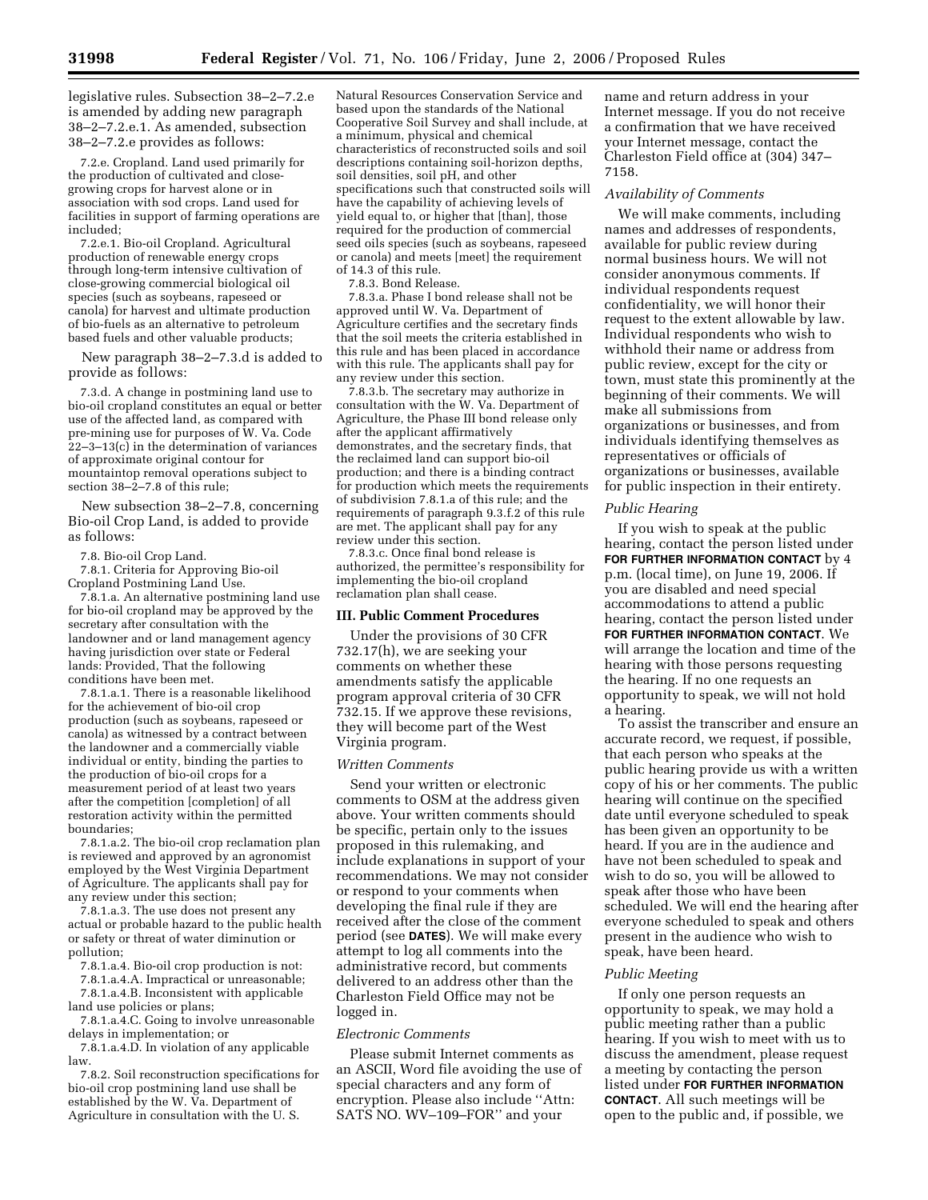legislative rules. Subsection 38–2–7.2.e is amended by adding new paragraph 38–2–7.2.e.1. As amended, subsection 38–2–7.2.e provides as follows:

7.2.e. Cropland. Land used primarily for the production of cultivated and closegrowing crops for harvest alone or in association with sod crops. Land used for facilities in support of farming operations are included;

7.2.e.1. Bio-oil Cropland. Agricultural production of renewable energy crops through long-term intensive cultivation of close-growing commercial biological oil species (such as soybeans, rapeseed or canola) for harvest and ultimate production of bio-fuels as an alternative to petroleum based fuels and other valuable products;

New paragraph 38–2–7.3.d is added to provide as follows:

7.3.d. A change in postmining land use to bio-oil cropland constitutes an equal or better use of the affected land, as compared with pre-mining use for purposes of W. Va. Code 22–3–13(c) in the determination of variances of approximate original contour for mountaintop removal operations subject to section 38–2–7.8 of this rule;

New subsection 38–2–7.8, concerning Bio-oil Crop Land, is added to provide as follows:

7.8. Bio-oil Crop Land.

7.8.1. Criteria for Approving Bio-oil Cropland Postmining Land Use.

7.8.1.a. An alternative postmining land use for bio-oil cropland may be approved by the secretary after consultation with the landowner and or land management agency having jurisdiction over state or Federal lands: Provided, That the following conditions have been met.

7.8.1.a.1. There is a reasonable likelihood for the achievement of bio-oil crop production (such as soybeans, rapeseed or canola) as witnessed by a contract between the landowner and a commercially viable individual or entity, binding the parties to the production of bio-oil crops for a measurement period of at least two years after the competition [completion] of all restoration activity within the permitted boundaries;

7.8.1.a.2. The bio-oil crop reclamation plan is reviewed and approved by an agronomist employed by the West Virginia Department of Agriculture. The applicants shall pay for any review under this section;

7.8.1.a.3. The use does not present any actual or probable hazard to the public health or safety or threat of water diminution or pollution;

7.8.1.a.4. Bio-oil crop production is not:

7.8.1.a.4.A. Impractical or unreasonable; 7.8.1.a.4.B. Inconsistent with applicable land use policies or plans;

7.8.1.a.4.C. Going to involve unreasonable delays in implementation; or

7.8.1.a.4.D. In violation of any applicable law.

7.8.2. Soil reconstruction specifications for bio-oil crop postmining land use shall be established by the W. Va. Department of Agriculture in consultation with the U. S.

Natural Resources Conservation Service and based upon the standards of the National Cooperative Soil Survey and shall include, at a minimum, physical and chemical characteristics of reconstructed soils and soil descriptions containing soil-horizon depths, soil densities, soil pH, and other specifications such that constructed soils will have the capability of achieving levels of yield equal to, or higher that [than], those required for the production of commercial seed oils species (such as soybeans, rapeseed or canola) and meets [meet] the requirement of 14.3 of this rule.

7.8.3. Bond Release.

7.8.3.a. Phase I bond release shall not be approved until W. Va. Department of Agriculture certifies and the secretary finds that the soil meets the criteria established in this rule and has been placed in accordance with this rule. The applicants shall pay for any review under this section.

7.8.3.b. The secretary may authorize in consultation with the W. Va. Department of Agriculture, the Phase III bond release only after the applicant affirmatively demonstrates, and the secretary finds, that the reclaimed land can support bio-oil production; and there is a binding contract for production which meets the requirements of subdivision 7.8.1.a of this rule; and the requirements of paragraph 9.3.f.2 of this rule are met. The applicant shall pay for any review under this section.

7.8.3.c. Once final bond release is authorized, the permittee's responsibility for implementing the bio-oil cropland reclamation plan shall cease.

#### **III. Public Comment Procedures**

Under the provisions of 30 CFR 732.17(h), we are seeking your comments on whether these amendments satisfy the applicable program approval criteria of 30 CFR 732.15. If we approve these revisions, they will become part of the West Virginia program.

#### *Written Comments*

Send your written or electronic comments to OSM at the address given above. Your written comments should be specific, pertain only to the issues proposed in this rulemaking, and include explanations in support of your recommendations. We may not consider or respond to your comments when developing the final rule if they are received after the close of the comment period (see **DATES**). We will make every attempt to log all comments into the administrative record, but comments delivered to an address other than the Charleston Field Office may not be logged in.

#### *Electronic Comments*

Please submit Internet comments as an ASCII, Word file avoiding the use of special characters and any form of encryption. Please also include ''Attn: SATS NO. WV–109–FOR'' and your

name and return address in your Internet message. If you do not receive a confirmation that we have received your Internet message, contact the Charleston Field office at (304) 347– 7158.

#### *Availability of Comments*

We will make comments, including names and addresses of respondents, available for public review during normal business hours. We will not consider anonymous comments. If individual respondents request confidentiality, we will honor their request to the extent allowable by law. Individual respondents who wish to withhold their name or address from public review, except for the city or town, must state this prominently at the beginning of their comments. We will make all submissions from organizations or businesses, and from individuals identifying themselves as representatives or officials of organizations or businesses, available for public inspection in their entirety.

### *Public Hearing*

If you wish to speak at the public hearing, contact the person listed under **FOR FURTHER INFORMATION CONTACT** by 4 p.m. (local time), on June 19, 2006. If you are disabled and need special accommodations to attend a public hearing, contact the person listed under **FOR FURTHER INFORMATION CONTACT**. We will arrange the location and time of the hearing with those persons requesting the hearing. If no one requests an opportunity to speak, we will not hold a hearing.

To assist the transcriber and ensure an accurate record, we request, if possible, that each person who speaks at the public hearing provide us with a written copy of his or her comments. The public hearing will continue on the specified date until everyone scheduled to speak has been given an opportunity to be heard. If you are in the audience and have not been scheduled to speak and wish to do so, you will be allowed to speak after those who have been scheduled. We will end the hearing after everyone scheduled to speak and others present in the audience who wish to speak, have been heard.

### *Public Meeting*

If only one person requests an opportunity to speak, we may hold a public meeting rather than a public hearing. If you wish to meet with us to discuss the amendment, please request a meeting by contacting the person listed under **FOR FURTHER INFORMATION CONTACT**. All such meetings will be open to the public and, if possible, we